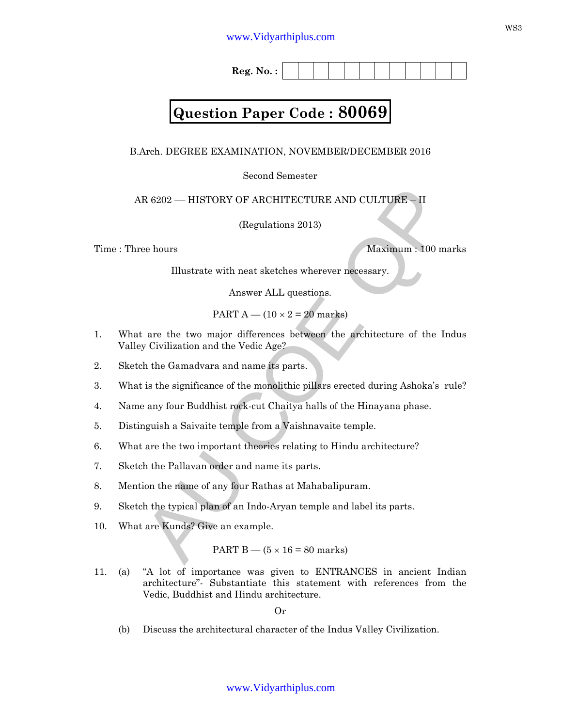**Reg. No. :**

## **Question Paper Code : 80069**

B.Arch. DEGREE EXAMINATION, NOVEMBER/DECEMBER 2016

Second Semester

AR 6202 –– HISTORY OF ARCHITECTURE AND CULTURE – II

(Regulations 2013)

Time : Three hours Maximum : 100 marks

Illustrate with neat sketches wherever necessary.

Answer ALL questions.

PART  $A - (10 \times 2 = 20$  marks)

- R 6202 HISTORY OF ARCHITECTURE AND CULTURE II<br>
(Regulations 2013)<br>
Waximum : 100 marks<br>
Illustrate with neat sketches wherever necessary.<br>
Answer ALL questions.<br>
PART  $A (10 \times 2 = 20$  marks)<br>
t are the two major differ 1. What are the two major differences between the architecture of the Indus Valley Civilization and the Vedic Age?
- 2. Sketch the Gamadvara and name its parts.
- 3. What is the significance of the monolithic pillars erected during Ashoka's rule?
- 4. Name any four Buddhist rock-cut Chaitya halls of the Hinayana phase.
- 5. Distinguish a Saivaite temple from a Vaishnavaite temple.
- 6. What are the two important theories relating to Hindu architecture?
- 7. Sketch the Pallavan order and name its parts.
- 8. Mention the name of any four Rathas at Mahabalipuram.
- 9. Sketch the typical plan of an Indo-Aryan temple and label its parts.
- 10. What are Kunds? Give an example.

PART B —  $(5 \times 16 = 80 \text{ marks})$ 

11. (a) "A lot of importance was given to ENTRANCES in ancient Indian architecture"- Substantiate this statement with references from the Vedic, Buddhist and Hindu architecture.

Or

(b) Discuss the architectural character of the Indus Valley Civilization.